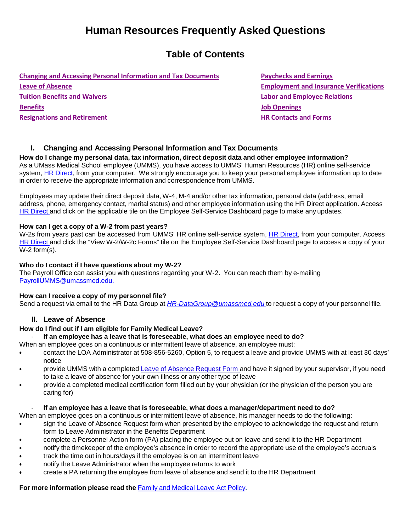# **Human Resources Frequently Asked Questions**

## **Table of Contents**

**Changing and [Accessing Personal](#page-0-0) Information and Tax Documents [Paychecks](#page-2-0) and Earnings Leave of [Absence](#page-0-1) Employment and [Insurance Verifications](#page-2-1) [Tuition Benefits](#page-1-0) and Waivers Labor and [Employee Relations](#page-2-2) [Benefits](#page-1-1) Job [Openings](#page-2-3) [Resignations](#page-1-2) and Retirement HR [Contacts](#page-3-0) and Forms**

#### <span id="page-0-0"></span>**I. Changing and Accessing Personal Information and Tax Documents**

**How do I change my personal data, tax information, direct deposit data and other employee information?** As a UMass Medical School employee (UMMS), you have access to UMMS' Human Resources (HR) online self-service system, HR [Direct,](http://www.umassmed.edu/hr/hrdirect/) from your computer. We strongly encourage you to keep your personal employee information up to date in order to receive the appropriate information and correspondence from UMMS.

Employees may update their direct deposit data, W-4, M-4 and/or other tax information, personal data (address, email address, phone, emergency contact, marital status) and other employee information using the HR Direct application. Access HR [Direct](http://www.umassmed.edu/hr/hrdirect1.aspx) and click on the applicable tile on the Employee Self-Service Dashboard page to make any updates.

#### **How can I get a copy of a W-2 from past years?**

W-2s from years past can be accessed from UMMS' HR online self-service system, HR [Direct,](http://www.umassmed.edu/hr/hrdirect/) from your computer. Access HR [Direct](http://www.umassmed.edu/hr/hrdirect1.aspx) and click the "View W-2/W-2c Forms" tile on the Employee Self-Service Dashboard page to access a copy of your W-2 form(s).

#### **Who do I contact if I have questions about my W-2?**

The Payroll Office can assist you with questions regarding your W-2. You can reach them by e-mailing [PayrollUMMS@umassmed.edu.](mailto:PayrollUMMS@umassmed.edu)

#### **How can I receive a copy of my personnel file?**

Send a request via email to the HR Data Group at *[HR-DataGroup@umassmed.edu](mailto:HR-DataGroup@umassmed.edu)* to request a copy of your personnel file.

#### **II. Leave of Absence**

#### <span id="page-0-1"></span>**How do I find out if I am eligible for Family Medical Leave?**

#### - **If an employee has a leave that is foreseeable, what does an employee need to do?**

When an employee goes on a continuous or intermittent leave of absence, an employee must:

- contact the LOA Administrator at 508-856-5260, Option 5, to request a leave and provide UMMS with at least 30 days' notice
- provide UMMS with a completed Leave of [Absence](https://inside.umassmed.edu/globalassets/human-resources/forms/loaapp.pdf) Request Form and have it signed by your supervisor, if you need to take a leave of absence for your own illness or any other type of leave
- provide a completed medical certification form filled out by your physician (or the physician of the person you are caring for)

#### - **If an employee has a leave that is foreseeable, what does a manager/department need to do?**

When an employee goes on a continuous or intermittent leave of absence, his manager needs to do the following:

- sign the Leave of Absence Request form when presented by the employee to acknowledge the request and return form to Leave Administrator in the Benefits Department
- complete a Personnel Action form (PA) placing the employee out on leave and send it to the HR Department
- notify the timekeeper of the employee's absence in order to record the appropriate use of the employee's accruals
- track the time out in hours/days if the employee is on an intermittent leave
- notify the Leave Administrator when the employee returns to work
- create a PA returning the employee from leave of absence and send it to the HR Department

**For more information please read the** Family and [Medical](https://inside.umassmed.edu/Policies/Policies-listing-page/hr/Benefits-and-Leave/Family-and-Medical-Leave/) Leave Act Policy**.**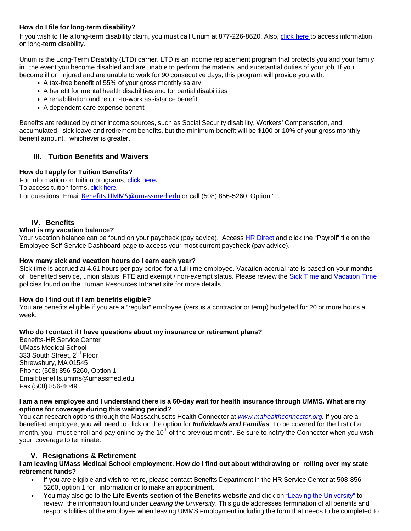#### **How do I file for long-term disability?**

If you wish to file a long-term disability claim, you must call Unum at 877-226-8620. Also, click [here](https://www.umassmed.edu/hr/benefits/benefits-summaries/) to access information on long-term disability.

Unum is the Long-Term Disability (LTD) carrier. LTD is an income replacement program that protects you and your family in the event you become disabled and are unable to perform the material and substantial duties of your job. If you become ill or injured and are unable to work for 90 consecutive days, this program will provide you with:

- A tax-free benefit of 55% of your gross monthly salary
- A benefit for mental health disabilities and for partial disabilities
- A rehabilitation and return-to-work assistance benefit
- A dependent care expense benefit

Benefits are reduced by other income sources, such as Social Security disability, Workers' Compensation, and accumulated sick leave and retirement benefits, but the minimum benefit will be \$100 or 10% of your gross monthly benefit amount, whichever is greater.

#### <span id="page-1-0"></span>**III. Tuition Benefits and Waivers**

#### **How do I apply for Tuition Benefits?**

For information on tuition programs, [click here.](https://www.umassmed.edu/hr/benefits/tuition-programs-educational-partnerships/tuition-programs/) To access tuition forms, click here. For questions: Email [Benefits.UMMS@umassmed.edu](mailto:Benefits.UMMS@umassmed.edu) or call (508) 856-5260, Option 1.

#### <span id="page-1-1"></span>**IV. Benefits**

#### **What is my vacation balance?**

Your vacation balance can be found on your paycheck (pay advice). Access HR [Direct](http://www.umassmed.edu/hr/hrdirect1.aspx) and click the "Payroll" tile on the Employee Self Service Dashboard page to access your most current paycheck (pay advice).

#### **How many sick and vacation hours do I earn each year?**

Sick time is accrued at 4.61 hours per pay period for a full time employee. Vacation accrual rate is based on your months of benefited service, union status, FTE and exempt / non-exempt status. Please review the [Sick Time](https://inside.umassmed.edu/Policies/Policies-listing-page/hr/Benefits-and-Leave/Sick-Time/) and [Vacation Time](https://inside.umassmed.edu/Policies/Policies-listing-page/hr/Benefits-and-Leave/Vacation-Time/) policies found on the Human Resources Intranet site for more details.

#### **How do I find out if I am benefits eligible?**

You are benefits eligible if you are a "regular" employee (versus a contractor or temp) budgeted for 20 or more hours a week.

#### **Who do I contact if I have questions about my insurance or retirement plans?**

Benefits-HR Service Center UMass Medical School 333 South Street, 2<sup>nd</sup> Floor Shrewsbury, MA 01545 Phone: (508) 856-5260, Option 1 Email[:benefits.umms@umassmed.edu](mailto:benefits.umms@umassmed.edu) Fax (508) 856-4049

#### I am a new employee and I understand there is a 60-day wait for health insurance through UMMS. What are my **options for coverage during this waiting period?**

You can research options through the Massachusetts Health Connector at *[www.mahealthconnector.org.](http://www.mahealthconnector.org./)* If you are a benefited employee, you will need to click on the option for *Individuals and Families*. To be covered for the first of a month, you must enroll and pay online by the  $10<sup>th</sup>$  of the previous month. Be sure to notify the Connector when you wish your coverage to terminate.

#### **V. Resignations & Retirement**

#### <span id="page-1-2"></span>I am leaving UMass Medical School employment. How do I find out about withdrawing or rolling over my state **retirement funds?**

- If you are eligible and wish to retire, please contact Benefits Department in the HR Service Center at 508-856- 5260, option 1 for information or to make an appointment.
- You may also go to the **Life Events section of the Benefits website** and click on "Leaving the [University"](http://www.umassmed.edu/hr/benefits/Life-Events-FamilyEmployee-Status-Changes/Leaving-UMMS/) to review the information found under *Leaving the University*. This guide addresses termination of all benefits and responsibilities of the employee when leaving UMMS employment including the form that needs to be completed to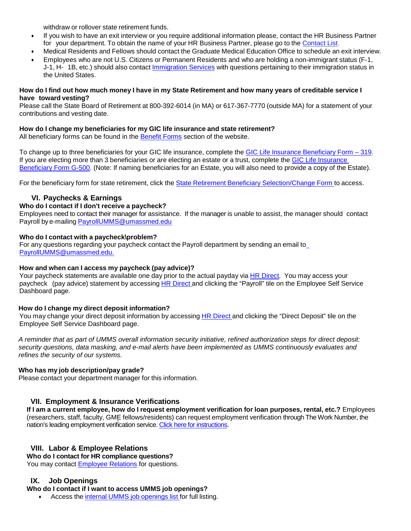withdraw or rollover state retirement funds.

- If you wish to have an exit interview or you require additional information please, contact the HR Business Partner for your department. To obtain the name of your HR Business Partner, please go to the [Contact](http://www.umassmed.edu/hr/Contact-Us/) List.
- Medical Residents and Fellows should contact the Graduate Medical Education Office to schedule an exit interview.
- Employees who are not U.S. Citizens or Permanent Residents and who are holding a non-immigrant status (F-1, J-1, H- 1B, etc.) should also contact [Immigration Services](https://www.umassmed.edu/hr/immigration_services/) with questions pertaining to their immigration status in the United States.

#### How do I find out how much money I have in my State Retirement and how many years of creditable service I **have toward vesting?**

Please call the State Board of Retirement at 800-392-6014 (in MA) or 617-367-7770 (outside MA) for a statement of your contributions and vesting date.

#### **How do I change my beneficiaries for my GIC life insurance and state retirement?**

All beneficiary forms can be found in the **[Benefit Forms](https://www.umassmed.edu/hr/benefits/forms/)** section of the website.

To change up to three beneficiaries for your GIC life insurance, complete the [GIC Life Insurance Beneficiary Form –](https://www.umassmed.edu/globalassets/human-resources/documents/benefits/beneficiary-forms/life-insurance-beneficiary-form-319.pdf) 319. If you are electing more than 3 beneficiaries or are electing an estate or a trust, complete the [GIC Life Insurance](https://www.umassmed.edu/globalassets/human-resources/documents/benefits/beneficiary-forms/life-insurance-beneficiary-form-g-500.pdf)  [Beneficiary Form G-500.](https://www.umassmed.edu/globalassets/human-resources/documents/benefits/beneficiary-forms/life-insurance-beneficiary-form-g-500.pdf) (Note: If naming beneficiaries for an Estate, you will also need to provide a copy of the Estate).

For the beneficiary form for state retirement, click the State Retirement Beneficiary [Selection/Change](http://www.umassmed.edu/Global/Human%20Resources/Documents/Benefits/change-bene.pdf) Form to access.

#### **VI. Paychecks & Earnings**

#### <span id="page-2-0"></span>**Who do I contact if I don't receive a paycheck?**

Employees need to contact their manager for assistance. If the manager is unable to assist, the manager should contact Payroll by e-mailing [PayrollUMMS@umassmed.edu](mailto:PayrollUMMS@umassmed.edu)

#### **Who do I contact with a paycheck\problem?**

For any questions regarding your paycheck contact the Payroll department by sending an email t[o](mailto:%20PayrollUMMS@umassmed.edu.) [PayrollUMMS@umassmed.edu.](mailto:%20PayrollUMMS@umassmed.edu.)

#### **How and when can I access my paycheck (pay advice)?**

Your paycheck statements are available one day prior to the actual payday via HR [Direct.](http://www.umassmed.edu/hr/hrdirect1.aspx) You may access your paycheck (pay advice) statement by accessing HR [Direct](http://www.umassmed.edu/hr/hrdirect1.aspx) and clicking the "Payroll" tile on the Employee Self Service Dashboard page.

#### **How do I change my direct deposit information?**

You may change your direct deposit information by accessing HR [Direct](http://www.umassmed.edu/hr/hrdirect1.aspx) and clicking the "Direct Deposit" tile on the Employee Self Service Dashboard page.

*A reminder that as part of UMMS overall information security initiative, refined authorization steps for direct deposit: security questions, data masking, and e-mail alerts have been implemented as UMMS continuously evaluates and refines the security of our systems.*

#### **Who has my job description/pay grade?**

Please contact your department manager for this information.

#### **VII. Employment & Insurance Verifications**

<span id="page-2-1"></span>If I am a current employee, how do I request employment verification for loan purposes, rental, etc.? Employees (researchers, staff, faculty, GME fellows/residents) can request employment verification through The Work Number, the nation's leading employment verification service[. Click here for instructions.](https://www.umassmed.edu/globalassets/human-resources/documents/benefits/employee-verification-service.pdf)

#### <span id="page-2-2"></span>**VIII. Labor & Employee Relations**

**Who do I contact for HR compliance questions?**

You may contact [Employee Relations](https://www.umassmed.edu/hr/employee-r/employee-relations-team/) for questions.

#### <span id="page-2-3"></span>**IX. Job Openings**

**Who do I contact if I want to access UMMS job openings?**

• Access the internal UMMS job [openings](http://www.umassmed.edu/hr/careers/Internal/) list for full listing.